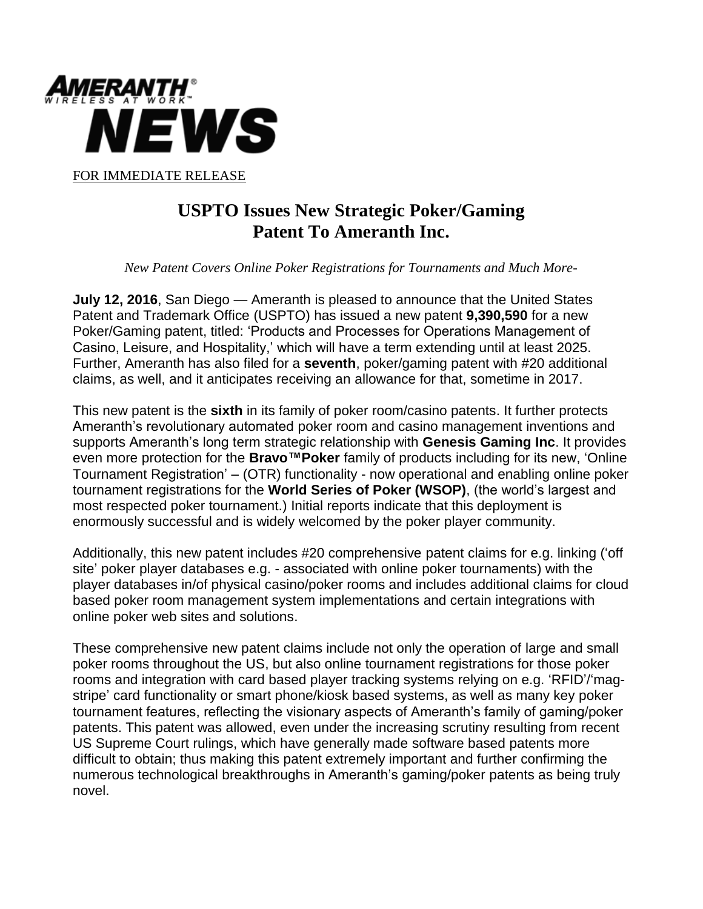

## **USPTO Issues New Strategic Poker/Gaming Patent To Ameranth Inc.**

 *New Patent Covers Online Poker Registrations for Tournaments and Much More-* 

**July 12, 2016**, San Diego — Ameranth is pleased to announce that the United States Patent and Trademark Office (USPTO) has issued a new patent **9,390,590** for a new Poker/Gaming patent, titled: 'Products and Processes for Operations Management of Casino, Leisure, and Hospitality,' which will have a term extending until at least 2025. Further, Ameranth has also filed for a **seventh**, poker/gaming patent with #20 additional claims, as well, and it anticipates receiving an allowance for that, sometime in 2017.

This new patent is the **sixth** in its family of poker room/casino patents. It further protects Ameranth's revolutionary automated poker room and casino management inventions and supports Ameranth's long term strategic relationship with **Genesis Gaming Inc**. It provides even more protection for the **Bravo™Poker** family of products including for its new, 'Online Tournament Registration' – (OTR) functionality - now operational and enabling online poker tournament registrations for the **World Series of Poker (WSOP)**, (the world's largest and most respected poker tournament.) Initial reports indicate that this deployment is enormously successful and is widely welcomed by the poker player community.

Additionally, this new patent includes #20 comprehensive patent claims for e.g. linking ('off site' poker player databases e.g. - associated with online poker tournaments) with the player databases in/of physical casino/poker rooms and includes additional claims for cloud based poker room management system implementations and certain integrations with online poker web sites and solutions.

These comprehensive new patent claims include not only the operation of large and small poker rooms throughout the US, but also online tournament registrations for those poker rooms and integration with card based player tracking systems relying on e.g. 'RFID'/'magstripe' card functionality or smart phone/kiosk based systems, as well as many key poker tournament features, reflecting the visionary aspects of Ameranth's family of gaming/poker patents. This patent was allowed, even under the increasing scrutiny resulting from recent US Supreme Court rulings, which have generally made software based patents more difficult to obtain; thus making this patent extremely important and further confirming the numerous technological breakthroughs in Ameranth's gaming/poker patents as being truly novel.